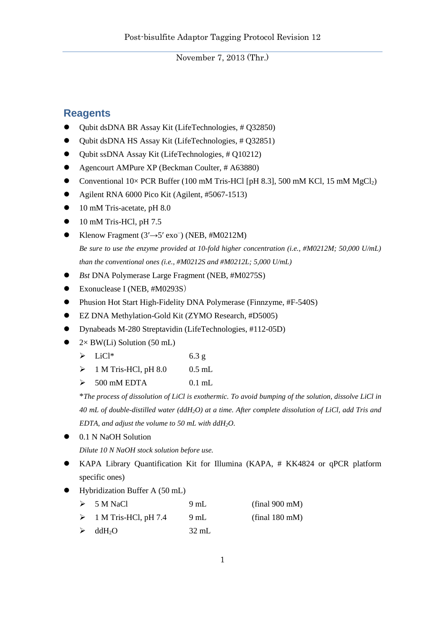## **Reagents**

- Qubit dsDNA BR Assay Kit (LifeTechnologies, # Q32850)
- Qubit dsDNA HS Assay Kit (LifeTechnologies, # Q32851)
- Qubit ssDNA Assay Kit (LifeTechnologies, # Q10212)
- Agencourt AMPure XP (Beckman Coulter, # A63880)
- Conventional  $10\times$  PCR Buffer (100 mM Tris-HCl [pH 8.3], 500 mM KCl, 15 mM MgCl<sub>2</sub>)
- Agilent RNA 6000 Pico Kit (Agilent, #5067-1513)
- 10 mM Tris-acetate, pH 8.0
- $\bullet$  10 mM Tris-HCl, pH 7.5
- Klenow Fragment  $(3' \rightarrow 5' \text{ exo}^{-})$  (NEB, #M0212M) *Be sure to use the enzyme provided at 10-fold higher concentration (i.e., #M0212M; 50,000 U/mL) than the conventional ones (i.e., #M0212S and #M0212L; 5,000 U/mL)*
- *Bst* DNA Polymerase Large Fragment (NEB, #M0275S)
- Exonuclease I (NEB, #M0293S)
- Phusion Hot Start High-Fidelity DNA Polymerase (Finnzyme, #F-540S)
- EZ DNA Methylation-Gold Kit (ZYMO Research, #D5005)
- Dynabeads M-280 Streptavidin (LifeTechnologies, #112-05D)
- $\bullet$  2× BW(Li) Solution (50 mL)
	- $\triangleright$  LiCl<sup>\*</sup> 6.3 g
	- $\triangleright$  1 M Tris-HCl, pH 8.0 0.5 mL
	- $\geqslant$  500 mM EDTA 0.1 mL

\**The process of dissolution of LiCl is exothermic. To avoid bumping of the solution, dissolve LiCl in 40 mL of double-distilled water (ddH2O) at a time. After complete dissolution of LiCl, add Tris and EDTA, and adjust the volume to 50 mL with ddH2O.*

 $\bullet$  0.1 N NaOH Solution

*Dilute 10 N NaOH stock solution before use.*

- KAPA Library Quantification Kit for Illumina (KAPA, # KK4824 or qPCR platform specific ones)
- Hybridization Buffer A (50 mL)
	- $\geqslant$  5 M NaCl 9 mL (final 900 mM)
	- $\triangleright$  1 M Tris-HCl, pH 7.4 9 mL (final 180 mM)
	- $\blacktriangleright$  ddH<sub>2</sub>O 32 mL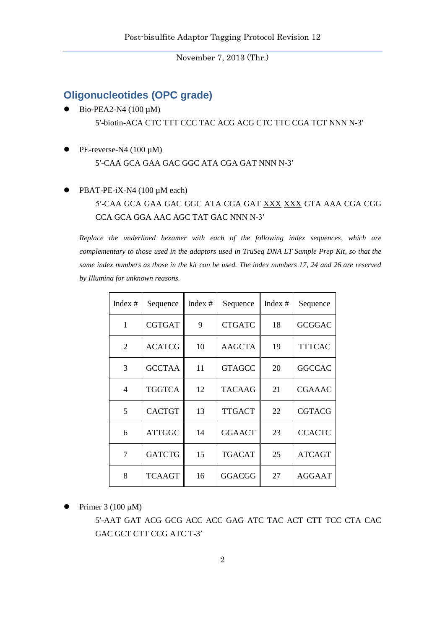## **Oligonucleotides (OPC grade)**

- Bio-PEA2-N4 (100 µM) 5′-biotin-ACA CTC TTT CCC TAC ACG ACG CTC TTC CGA TCT NNN N-3′
- PE-reverse-N4 (100 μM) 5′-CAA GCA GAA GAC GGC ATA CGA GAT NNN N-3′
- PBAT-PE-iX-N4 (100 µM each)

## 5′-CAA GCA GAA GAC GGC ATA CGA GAT XXX XXX GTA AAA CGA CGG CCA GCA GGA AAC AGC TAT GAC NNN N-3′

*Replace the underlined hexamer with each of the following index sequences, which are complementary to those used in the adaptors used in TruSeq DNA LT Sample Prep Kit, so that the same index numbers as those in the kit can be used. The index numbers 17, 24 and 26 are reserved by Illumina for unknown reasons.*

| Index $#$      | Sequence      | Index $#$ | Sequence      | Index # | Sequence      |
|----------------|---------------|-----------|---------------|---------|---------------|
| 1              | <b>CGTGAT</b> | 9         | <b>CTGATC</b> | 18      | <b>GCGGAC</b> |
| $\overline{2}$ | <b>ACATCG</b> | 10        | <b>AAGCTA</b> | 19      | <b>TTTCAC</b> |
| 3              | <b>GCCTAA</b> | 11        | <b>GTAGCC</b> | 20      | <b>GGCCAC</b> |
| $\overline{4}$ | <b>TGGTCA</b> | 12        | <b>TACAAG</b> | 21      | <b>CGAAAC</b> |
| 5              | <b>CACTGT</b> | 13        | <b>TTGACT</b> | 22      | <b>CGTACG</b> |
| 6              | <b>ATTGGC</b> | 14        | <b>GGAACT</b> | 23      | <b>CCACTC</b> |
| 7              | <b>GATCTG</b> | 15        | <b>TGACAT</b> | 25      | <b>ATCAGT</b> |
| 8              | <b>TCAAGT</b> | 16        | <b>GGACGG</b> | 27      | <b>AGGAAT</b> |

Primer 3 (100 µM)

5′-AAT GAT ACG GCG ACC ACC GAG ATC TAC ACT CTT TCC CTA CAC GAC GCT CTT CCG ATC T-3'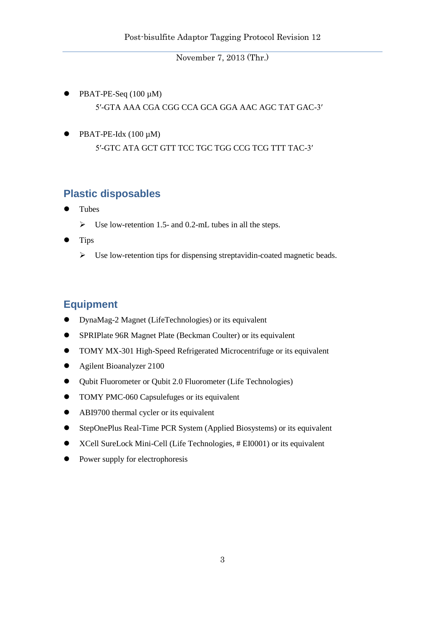- PBAT-PE-Seq (100 µM) 5′-GTA AAA CGA CGG CCA GCA GGA AAC AGC TAT GAC-3′
- $\bullet$  PBAT-PE-Idx (100 µM) 5′-GTC ATA GCT GTT TCC TGC TGG CCG TCG TTT TAC-3′

## **Plastic disposables**

- Tubes
	- $\triangleright$  Use low-retention 1.5- and 0.2-mL tubes in all the steps.
- Tips
	- $\triangleright$  Use low-retention tips for dispensing streptavidin-coated magnetic beads.

# **Equipment**

- DynaMag-2 Magnet (LifeTechnologies) or its equivalent
- SPRIPlate 96R Magnet Plate (Beckman Coulter) or its equivalent
- TOMY MX-301 High-Speed Refrigerated Microcentrifuge or its equivalent
- Agilent Bioanalyzer 2100
- Qubit Fluorometer or Qubit 2.0 Fluorometer (Life Technologies)
- TOMY PMC-060 Capsulefuges or its equivalent
- ABI9700 thermal cycler or its equivalent
- StepOnePlus Real-Time PCR System (Applied Biosystems) or its equivalent
- XCell SureLock Mini-Cell (Life Technologies, # EI0001) or its equivalent
- Power supply for electrophoresis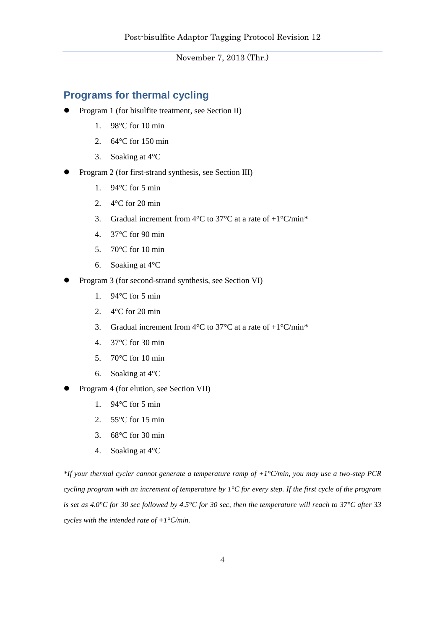## **Programs for thermal cycling**

- Program 1 (for bisulfite treatment, see Section II)
	- 1. 98°C for 10 min
	- 2. 64°C for 150 min
	- 3. Soaking at 4°C
- Program 2 (for first-strand synthesis, see Section III)
	- 1. 94°C for 5 min
	- 2. 4°C for 20 min
	- 3. Gradual increment from  $4^{\circ}$ C to  $37^{\circ}$ C at a rate of  $+1^{\circ}$ C/min\*
	- 4. 37°C for 90 min
	- 5. 70°C for 10 min
	- 6. Soaking at 4°C
- Program 3 (for second-strand synthesis, see Section VI)
	- 1. 94°C for 5 min
	- 2. 4°C for 20 min
	- 3. Gradual increment from  $4^{\circ}$ C to  $37^{\circ}$ C at a rate of  $+1^{\circ}$ C/min<sup>\*</sup>
	- 4. 37°C for 30 min
	- 5. 70°C for 10 min
	- 6. Soaking at 4°C
- Program 4 (for elution, see Section VII)
	- 1. 94°C for 5 min
	- 2. 55°C for 15 min
	- 3. 68°C for 30 min
	- 4. Soaking at 4°C

*\*If your thermal cycler cannot generate a temperature ramp of +1°C/min, you may use a two-step PCR cycling program with an increment of temperature by 1°C for every step. If the first cycle of the program is set as 4.0°C for 30 sec followed by 4.5°C for 30 sec, then the temperature will reach to 37°C after 33 cycles with the intended rate of +1°C/min.*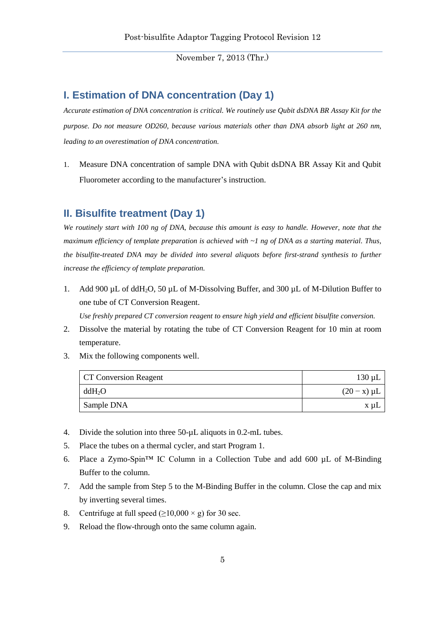#### **I. Estimation of DNA concentration (Day 1)**

*Accurate estimation of DNA concentration is critical. We routinely use Qubit dsDNA BR Assay Kit for the purpose. Do not measure OD260, because various materials other than DNA absorb light at 260 nm, leading to an overestimation of DNA concentration.*

1. Measure DNA concentration of sample DNA with Qubit dsDNA BR Assay Kit and Qubit Fluorometer according to the manufacturer's instruction.

## **II. Bisulfite treatment (Day 1)**

*We routinely start with 100 ng of DNA, because this amount is easy to handle. However, note that the maximum efficiency of template preparation is achieved with ~1 ng of DNA as a starting material. Thus, the bisulfite-treated DNA may be divided into several aliquots before first-strand synthesis to further increase the efficiency of template preparation.*

1. Add 900  $\mu$ L of ddH<sub>2</sub>O, 50  $\mu$ L of M-Dissolving Buffer, and 300  $\mu$ L of M-Dilution Buffer to one tube of CT Conversion Reagent.

*Use freshly prepared CT conversion reagent to ensure high yield and efficient bisulfite conversion.*

- 2. Dissolve the material by rotating the tube of CT Conversion Reagent for 10 min at room temperature.
- 3. Mix the following components well.

| <b>CT Conversion Reagent</b> | $130 \mu L$      |
|------------------------------|------------------|
| $ddH_2O$                     | $(20 - x) \mu L$ |
| Sample DNA                   | x uL             |

- 4. Divide the solution into three 50-µL aliquots in 0.2-mL tubes.
- 5. Place the tubes on a thermal cycler, and start Program 1.
- 6. Place a Zymo-Spin™ IC Column in a Collection Tube and add 600 µL of M-Binding Buffer to the column.
- 7. Add the sample from Step 5 to the M-Binding Buffer in the column. Close the cap and mix by inverting several times.
- 8. Centrifuge at full speed  $(≥10,000 × g)$  for 30 sec.
- 9. Reload the flow-through onto the same column again.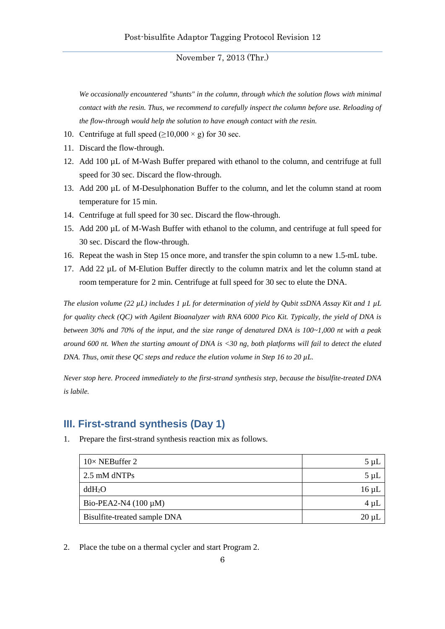*We occasionally encountered "shunts" in the column, through which the solution flows with minimal contact with the resin. Thus, we recommend to carefully inspect the column before use. Reloading of the flow-through would help the solution to have enough contact with the resin.*

- 10. Centrifuge at full speed  $(≥10,000 × g)$  for 30 sec.
- 11. Discard the flow-through.
- 12. Add 100 µL of M-Wash Buffer prepared with ethanol to the column, and centrifuge at full speed for 30 sec. Discard the flow-through.
- 13. Add 200 µL of M-Desulphonation Buffer to the column, and let the column stand at room temperature for 15 min.
- 14. Centrifuge at full speed for 30 sec. Discard the flow-through.
- 15. Add 200 µL of M-Wash Buffer with ethanol to the column, and centrifuge at full speed for 30 sec. Discard the flow-through.
- 16. Repeat the wash in Step 15 once more, and transfer the spin column to a new 1.5-mL tube.
- 17. Add 22 µL of M-Elution Buffer directly to the column matrix and let the column stand at room temperature for 2 min. Centrifuge at full speed for 30 sec to elute the DNA.

*The elusion volume (22 µL) includes 1 µL for determination of yield by Qubit ssDNA Assay Kit and 1 µL for quality check (QC) with Agilent Bioanalyzer with RNA 6000 Pico Kit. Typically, the yield of DNA is between 30% and 70% of the input, and the size range of denatured DNA is 100~1,000 nt with a peak around 600 nt. When the starting amount of DNA is <30 ng, both platforms will fail to detect the eluted DNA. Thus, omit these QC steps and reduce the elution volume in Step 16 to 20 µL.*

*Never stop here. Proceed immediately to the first-strand synthesis step, because the bisulfite-treated DNA is labile.*

# **III. First-strand synthesis (Day 1)**

1. Prepare the first-strand synthesis reaction mix as follows.

| $10\times$ NEBuffer 2        | $5 \mu L$  |
|------------------------------|------------|
| 2.5 mM dNTPs                 | $5 \mu L$  |
| ddH <sub>2</sub> O           | $16 \mu L$ |
| Bio-PEA2-N4 $(100 \mu M)$    | $4 \mu L$  |
| Bisulfite-treated sample DNA | $20 \mu L$ |

2. Place the tube on a thermal cycler and start Program 2.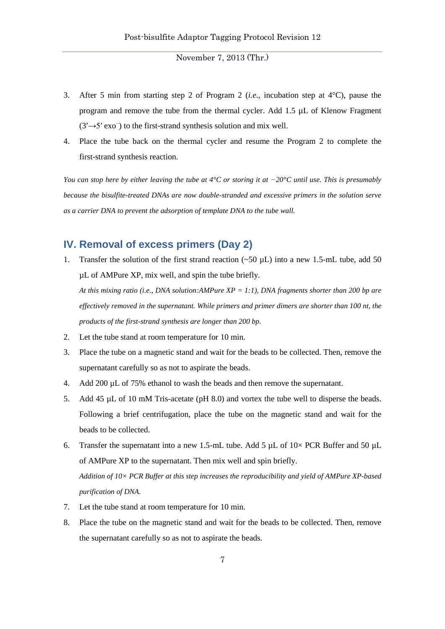- 3. After 5 min from starting step 2 of Program 2 (*i.e.*, incubation step at 4°C), pause the program and remove the tube from the thermal cycler. Add 1.5 µL of Klenow Fragment (3′→5′ exo<sup>−</sup> ) to the first-strand synthesis solution and mix well.
- 4. Place the tube back on the thermal cycler and resume the Program 2 to complete the first-strand synthesis reaction.

*You can stop here by either leaving the tube at 4°C or storing it at −20°C until use. This is presumably because the bisulfite-treated DNAs are now double-stranded and excessive primers in the solution serve as a carrier DNA to prevent the adsorption of template DNA to the tube wall.*

### **IV. Removal of excess primers (Day 2)**

1. Transfer the solution of the first strand reaction  $(-50 \text{ uL})$  into a new 1.5-mL tube, add 50 µL of AMPure XP, mix well, and spin the tube briefly. *At this mixing ratio (i.e., DNA solution:AMPure XP = 1:1), DNA fragments shorter than 200 bp are* 

*effectively removed in the supernatant. While primers and primer dimers are shorter than 100 nt, the products of the first-strand synthesis are longer than 200 bp.*

- 2. Let the tube stand at room temperature for 10 min.
- 3. Place the tube on a magnetic stand and wait for the beads to be collected. Then, remove the supernatant carefully so as not to aspirate the beads.
- 4. Add 200 µL of 75% ethanol to wash the beads and then remove the supernatant.
- 5. Add 45 µL of 10 mM Tris-acetate (pH 8.0) and vortex the tube well to disperse the beads. Following a brief centrifugation, place the tube on the magnetic stand and wait for the beads to be collected.
- 6. Transfer the supernatant into a new 1.5-mL tube. Add 5  $\mu$ L of 10× PCR Buffer and 50  $\mu$ L of AMPure XP to the supernatant. Then mix well and spin briefly. *Addition of 10× PCR Buffer at this step increases the reproducibility and yield of AMPure XP-based purification of DNA.*
- 7. Let the tube stand at room temperature for 10 min.
- 8. Place the tube on the magnetic stand and wait for the beads to be collected. Then, remove the supernatant carefully so as not to aspirate the beads.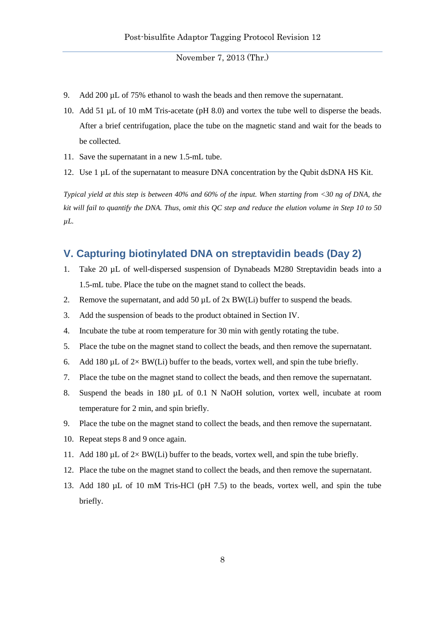- 9. Add 200 µL of 75% ethanol to wash the beads and then remove the supernatant.
- 10. Add 51 µL of 10 mM Tris-acetate (pH 8.0) and vortex the tube well to disperse the beads. After a brief centrifugation, place the tube on the magnetic stand and wait for the beads to be collected.
- 11. Save the supernatant in a new 1.5-mL tube.
- 12. Use 1 µL of the supernatant to measure DNA concentration by the Qubit dsDNA HS Kit.

*Typical yield at this step is between 40% and 60% of the input. When starting from <30 ng of DNA, the kit will fail to quantify the DNA. Thus, omit this QC step and reduce the elution volume in Step 10 to 50 µL.*

### **V. Capturing biotinylated DNA on streptavidin beads (Day 2)**

- 1. Take 20 µL of well-dispersed suspension of Dynabeads M280 Streptavidin beads into a 1.5-mL tube. Place the tube on the magnet stand to collect the beads.
- 2. Remove the supernatant, and add 50  $\mu$ L of 2x BW(Li) buffer to suspend the beads.
- 3. Add the suspension of beads to the product obtained in Section IV.
- 4. Incubate the tube at room temperature for 30 min with gently rotating the tube.
- 5. Place the tube on the magnet stand to collect the beads, and then remove the supernatant.
- 6. Add 180  $\mu$ L of 2× BW(Li) buffer to the beads, vortex well, and spin the tube briefly.
- 7. Place the tube on the magnet stand to collect the beads, and then remove the supernatant.
- 8. Suspend the beads in 180 µL of 0.1 N NaOH solution, vortex well, incubate at room temperature for 2 min, and spin briefly.
- 9. Place the tube on the magnet stand to collect the beads, and then remove the supernatant.
- 10. Repeat steps 8 and 9 once again.
- 11. Add 180  $\mu$ L of 2× BW(Li) buffer to the beads, vortex well, and spin the tube briefly.
- 12. Place the tube on the magnet stand to collect the beads, and then remove the supernatant.
- 13. Add 180 µL of 10 mM Tris-HCl (pH 7.5) to the beads, vortex well, and spin the tube briefly.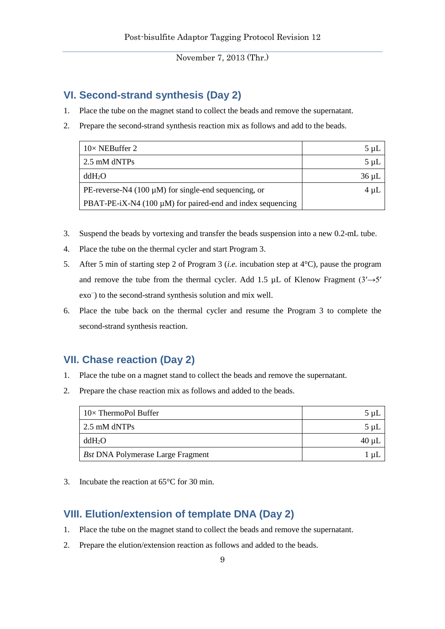## **VI. Second-strand synthesis (Day 2)**

- 1. Place the tube on the magnet stand to collect the beads and remove the supernatant.
- 2. Prepare the second-strand synthesis reaction mix as follows and add to the beads.

| $10\times$ NEBuffer 2                                           | $5 \mu L$  |
|-----------------------------------------------------------------|------------|
| 2.5 mM dNTPs                                                    | $5 \mu L$  |
| ddH <sub>2</sub> O                                              | $36 \mu L$ |
| PE-reverse-N4 (100 $\mu$ M) for single-end sequencing, or       | $4 \mu L$  |
| PBAT-PE-iX-N4 (100 $\mu$ M) for paired-end and index sequencing |            |

- 3. Suspend the beads by vortexing and transfer the beads suspension into a new 0.2-mL tube.
- 4. Place the tube on the thermal cycler and start Program 3.
- 5. After 5 min of starting step 2 of Program 3 (*i.e.* incubation step at 4°C), pause the program and remove the tube from the thermal cycler. Add 1.5 µL of Klenow Fragment  $(3' \rightarrow 5'$ exo<sup>−</sup> ) to the second-strand synthesis solution and mix well.
- 6. Place the tube back on the thermal cycler and resume the Program 3 to complete the second-strand synthesis reaction.

# **VII. Chase reaction (Day 2)**

- 1. Place the tube on a magnet stand to collect the beads and remove the supernatant.
- 2. Prepare the chase reaction mix as follows and added to the beads.

| $10\times$ ThermoPol Buffer              | 5 uL  |
|------------------------------------------|-------|
| $\sqrt{2.5}$ mM dNTPs                    | 5 uL  |
| ddH <sub>2</sub> O                       | 40 µL |
| <b>Bst DNA Polymerase Large Fragment</b> | μL    |

3. Incubate the reaction at 65°C for 30 min.

# **VIII. Elution/extension of template DNA (Day 2)**

- 1. Place the tube on the magnet stand to collect the beads and remove the supernatant.
- 2. Prepare the elution/extension reaction as follows and added to the beads.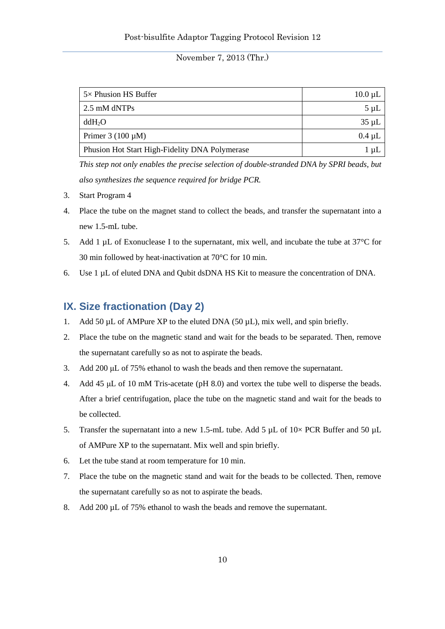| $5\times$ Phusion HS Buffer                    | $10.0 \mu L$ |
|------------------------------------------------|--------------|
| 2.5 mM dNTPs                                   | 5 uL         |
| ddH <sub>2</sub> O                             | $35 \mu L$   |
| Primer $3(100 \mu M)$                          | $0.4 \mu L$  |
| Phusion Hot Start High-Fidelity DNA Polymerase | ul           |

*This step not only enables the precise selection of double-stranded DNA by SPRI beads, but also synthesizes the sequence required for bridge PCR.*

- 3. Start Program 4
- 4. Place the tube on the magnet stand to collect the beads, and transfer the supernatant into a new 1.5-mL tube.
- 5. Add 1 µL of Exonuclease I to the supernatant, mix well, and incubate the tube at 37<sup>o</sup>C for 30 min followed by heat-inactivation at 70°C for 10 min.
- 6. Use 1 µL of eluted DNA and Qubit dsDNA HS Kit to measure the concentration of DNA.

#### **IX. Size fractionation (Day 2)**

- 1. Add 50  $\mu$ L of AMPure XP to the eluted DNA (50  $\mu$ L), mix well, and spin briefly.
- 2. Place the tube on the magnetic stand and wait for the beads to be separated. Then, remove the supernatant carefully so as not to aspirate the beads.
- 3. Add 200 μL of 75% ethanol to wash the beads and then remove the supernatant.
- 4. Add 45 μL of 10 mM Tris-acetate (pH 8.0) and vortex the tube well to disperse the beads. After a brief centrifugation, place the tube on the magnetic stand and wait for the beads to be collected.
- 5. Transfer the supernatant into a new 1.5-mL tube. Add 5  $\mu$ L of 10 $\times$  PCR Buffer and 50  $\mu$ L of AMPure XP to the supernatant. Mix well and spin briefly.
- 6. Let the tube stand at room temperature for 10 min.
- 7. Place the tube on the magnetic stand and wait for the beads to be collected. Then, remove the supernatant carefully so as not to aspirate the beads.
- 8. Add 200 µL of 75% ethanol to wash the beads and remove the supernatant.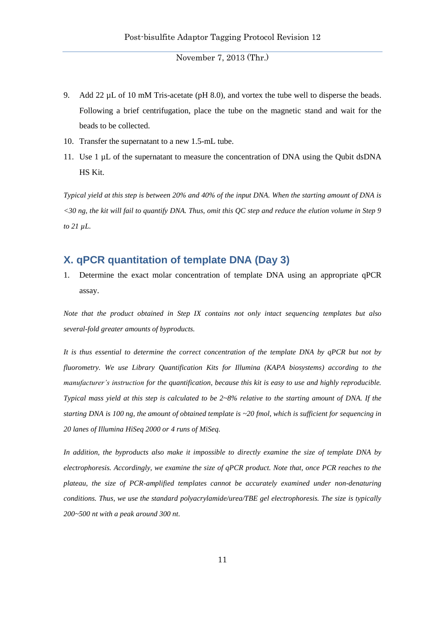- 9. Add 22 µL of 10 mM Tris-acetate (pH 8.0), and vortex the tube well to disperse the beads. Following a brief centrifugation, place the tube on the magnetic stand and wait for the beads to be collected.
- 10. Transfer the supernatant to a new 1.5-mL tube.
- 11. Use 1 µL of the supernatant to measure the concentration of DNA using the Qubit dsDNA HS Kit.

*Typical yield at this step is between 20% and 40% of the input DNA. When the starting amount of DNA is <30 ng, the kit will fail to quantify DNA. Thus, omit this QC step and reduce the elution volume in Step 9 to 21 µL.*

#### **X. qPCR quantitation of template DNA (Day 3)**

1. Determine the exact molar concentration of template DNA using an appropriate qPCR assay.

*Note that the product obtained in Step IX contains not only intact sequencing templates but also several-fold greater amounts of byproducts.* 

*It is thus essential to determine the correct concentration of the template DNA by qPCR but not by fluorometry. We use Library Quantification Kits for Illumina (KAPA biosystems) according to the manufacturer's instruction for the quantification, because this kit is easy to use and highly reproducible. Typical mass yield at this step is calculated to be 2~8% relative to the starting amount of DNA. If the starting DNA is 100 ng, the amount of obtained template is ~20 fmol, which is sufficient for sequencing in 20 lanes of Illumina HiSeq 2000 or 4 runs of MiSeq.*

*In addition, the byproducts also make it impossible to directly examine the size of template DNA by electrophoresis. Accordingly, we examine the size of qPCR product. Note that, once PCR reaches to the plateau, the size of PCR-amplified templates cannot be accurately examined under non-denaturing conditions. Thus, we use the standard polyacrylamide/urea/TBE gel electrophoresis. The size is typically 200~500 nt with a peak around 300 nt.*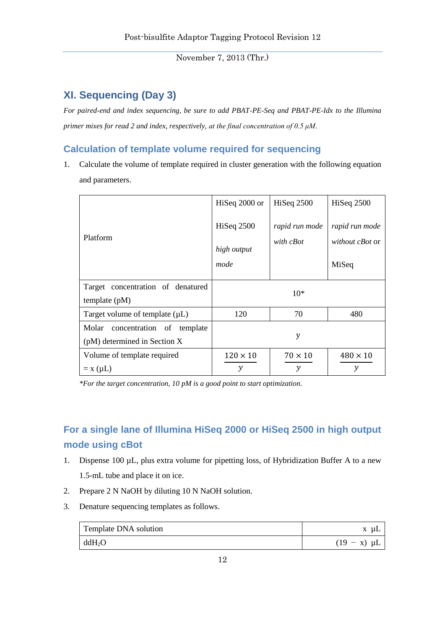# **XI. Sequencing (Day 3)**

*For paired-end and index sequencing, be sure to add PBAT-PE-Seq and PBAT-PE-Idx to the Illumina primer mixes for read 2 and index, respectively, at the final concentration of 0.5 μM.*

### **Calculation of template volume required for sequencing**

1. Calculate the volume of template required in cluster generation with the following equation and parameters.

|                                                                    | HiSeq 2000 or                     | Hiseq 2500                  | Hiseq 2500                                        |
|--------------------------------------------------------------------|-----------------------------------|-----------------------------|---------------------------------------------------|
| Platform                                                           | Hiseq 2500<br>high output<br>mode | rapid run mode<br>with cBot | rapid run mode<br><i>without cBot</i> or<br>MiSeq |
| Target concentration of denatured<br>template $(pM)$               |                                   | $10*$                       |                                                   |
| Target volume of template $(\mu L)$                                | 120                               | 70                          | 480                                               |
| Molar<br>concentration of template<br>(pM) determined in Section X | y                                 |                             |                                                   |
| Volume of template required                                        | $120 \times 10$                   | $70 \times 10$              | $480 \times 10$                                   |
| $= x (\mu L)$                                                      | y                                 | $\mathcal{V}$               | $\mathcal{V}$                                     |

*\*For the target concentration, 10 pM is a good point to start optimization.*

# **For a single lane of Illumina HiSeq 2000 or HiSeq 2500 in high output mode using cBot**

- 1. Dispense 100 µL, plus extra volume for pipetting loss, of Hybridization Buffer A to a new 1.5-mL tube and place it on ice.
- 2. Prepare 2 N NaOH by diluting 10 N NaOH solution.
- 3. Denature sequencing templates as follows.

| Template DNA solution | μL               |
|-----------------------|------------------|
| ddH <sub>2</sub> O    | $(19 - x) \mu L$ |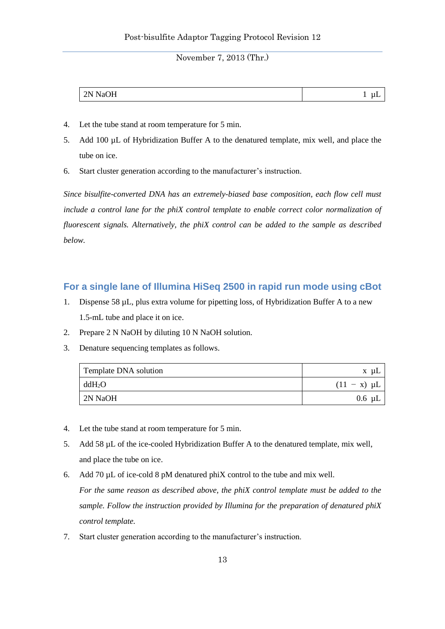| 'N<br>∸<br>$\sim$<br>$\ddot{\phantom{a}}$<br><b>.</b> |
|-------------------------------------------------------|
|-------------------------------------------------------|

- 4. Let the tube stand at room temperature for 5 min.
- 5. Add 100 µL of Hybridization Buffer A to the denatured template, mix well, and place the tube on ice.
- 6. Start cluster generation according to the manufacturer's instruction.

*Since bisulfite-converted DNA has an extremely-biased base composition, each flow cell must include a control lane for the phiX control template to enable correct color normalization of fluorescent signals. Alternatively, the phiX control can be added to the sample as described below.*

#### **For a single lane of Illumina HiSeq 2500 in rapid run mode using cBot**

- 1. Dispense 58 µL, plus extra volume for pipetting loss, of Hybridization Buffer A to a new 1.5-mL tube and place it on ice.
- 2. Prepare 2 N NaOH by diluting 10 N NaOH solution.
- 3. Denature sequencing templates as follows.

| Template DNA solution | x uL             |
|-----------------------|------------------|
| ddH <sub>2</sub> O    | $(11 - x) \mu L$ |
| 2N NaOH               | $0.6 \mu L$      |

- 4. Let the tube stand at room temperature for 5 min.
- 5. Add 58 µL of the ice-cooled Hybridization Buffer A to the denatured template, mix well, and place the tube on ice.
- 6. Add 70 µL of ice-cold 8 pM denatured phiX control to the tube and mix well. *For the same reason as described above, the phiX control template must be added to the sample. Follow the instruction provided by Illumina for the preparation of denatured phiX control template.*
- 7. Start cluster generation according to the manufacturer's instruction.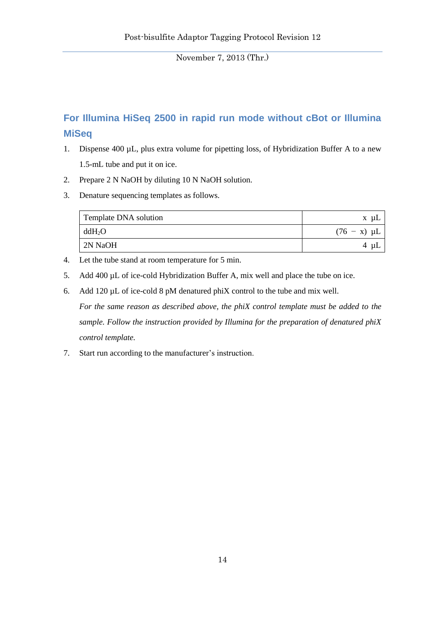# **For Illumina HiSeq 2500 in rapid run mode without cBot or Illumina MiSeq**

- 1. Dispense 400 µL, plus extra volume for pipetting loss, of Hybridization Buffer A to a new 1.5-mL tube and put it on ice.
- 2. Prepare 2 N NaOH by diluting 10 N NaOH solution.
- 3. Denature sequencing templates as follows.

| Template DNA solution | x uL             |
|-----------------------|------------------|
| $ddH_2O$              | $(76 - x) \mu L$ |
| 2N NaOH               | 4<br>யட          |

- 4. Let the tube stand at room temperature for 5 min.
- 5. Add 400 µL of ice-cold Hybridization Buffer A, mix well and place the tube on ice.
- 6. Add 120 µL of ice-cold 8 pM denatured phiX control to the tube and mix well. *For the same reason as described above, the phiX control template must be added to the sample. Follow the instruction provided by Illumina for the preparation of denatured phiX control template.*
- 7. Start run according to the manufacturer's instruction.